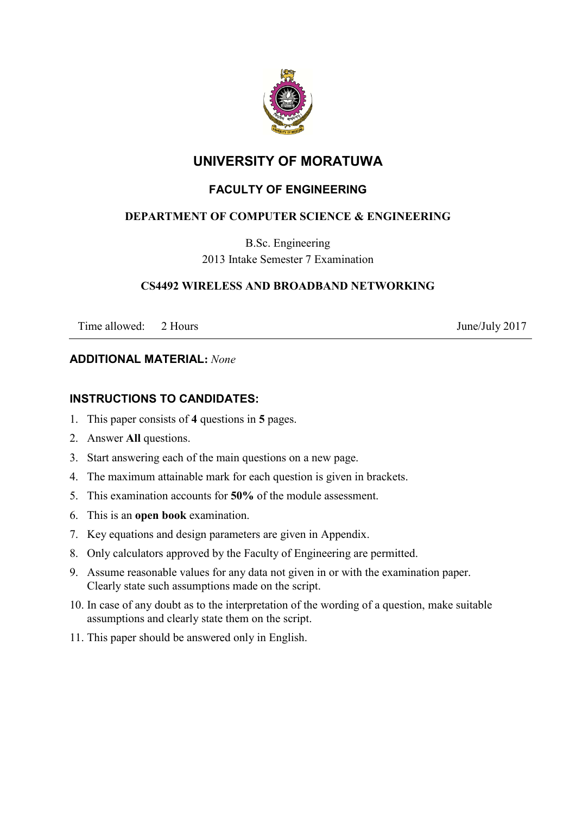

# **UNIVERSITY OF MORATUWA**

## **FACULTY OF ENGINEERING**

## **DEPARTMENT OF COMPUTER SCIENCE & ENGINEERING**

B.Sc. Engineering 2013 Intake Semester 7 Examination

#### **CS4492 WIRELESS AND BROADBAND NETWORKING**

Time allowed: 2 Hours June/July 2017

#### **ADDITIONAL MATERIAL:** *None*

#### **INSTRUCTIONS TO CANDIDATES:**

- 1. This paper consists of **4** questions in **5** pages.
- 2. Answer **All** questions.
- 3. Start answering each of the main questions on a new page.
- 4. The maximum attainable mark for each question is given in brackets.
- 5. This examination accounts for **50%** of the module assessment.
- 6. This is an **open book** examination.
- 7. Key equations and design parameters are given in Appendix.
- 8. Only calculators approved by the Faculty of Engineering are permitted.
- 9. Assume reasonable values for any data not given in or with the examination paper. Clearly state such assumptions made on the script.
- 10. In case of any doubt as to the interpretation of the wording of a question, make suitable assumptions and clearly state them on the script.
- 11. This paper should be answered only in English.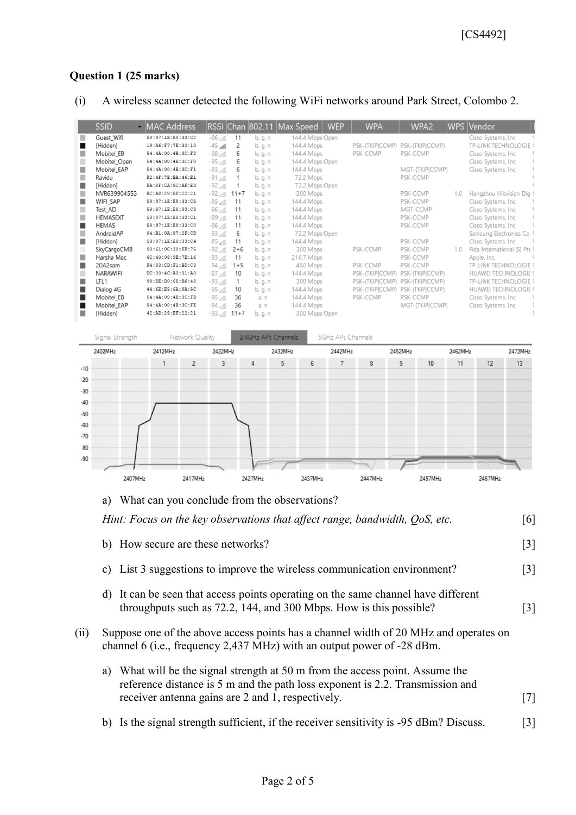### **Question 1 (25 marks)**

(i) A wireless scanner detected the following WiFi networks around Park Street, Colombo 2.

|   | <b>SSID</b>     | - MAC Address          |                            |         |         | <b>WEP</b><br>RSSI Chan 802.11 Max Speed | <b>WPA</b>      | WPA <sub>2</sub> |     | WPS Vendor                   |  |
|---|-----------------|------------------------|----------------------------|---------|---------|------------------------------------------|-----------------|------------------|-----|------------------------------|--|
|   | Guest_Wifi      | 58:97:1E:E8:33:C2      | $\ln b$ -86                | 11      | b, g, n | 144.4 Mbps Open                          |                 |                  |     | Cisco Systems. Inc.          |  |
|   | [Hidden]        | 18:A6:F7:7E:30:10      | $-45$ all                  | 2       | b, g, n | 144.4 Mbps                               | PSK-(TKIP CCMP) | PSK-(TKIP CCMP)  |     | <b>TP-LINK TECHNOLOGIE</b>   |  |
|   | Mobitel EB      | 54:4A:00:4B:3C:F2      | $n_{\rm th}$ , 88-         | 6       | b, g, n | 144.4 Mbps                               | PSK-CCMP        | PSK-CCMP         |     | Cisco Systems. Inc.          |  |
|   | Mobitel_Open    | 54:4A:00:4B:3C:F0      | $-95$ and                  | 6       | b, g, n | 144.4 Mbps Open                          |                 |                  |     | Cisco Systems. Inc.          |  |
|   | Mobitel EAP     | 54:4A:00:4B:3C:F1      | $-93$ <sub>cm</sub>        | 6       | b, g, n | 144.4 Mbps                               |                 | MGT-(TKIP CCMP)  |     | Cisco Systems. Inc.          |  |
|   | Ravidu          | F2:4F:7E:BA:46:El      | $-91$ aff                  |         | b, g, n | 72.2 Mbps                                |                 | PSK-CCMP         |     |                              |  |
|   | [Hidden]        | FA: 8F: CA: 8C: AF: E3 | $-92$ and                  |         | b, g, n | 72.2 Mbps Open                           |                 |                  |     |                              |  |
| п | NVR639904553    | BC:AD:28:EF:22:21      | $-92$ and $11+7$           |         | b, g, n | 300 Mbps                                 |                 | PSK-CCMP         | 1.0 | Hangzhou Hikvision Dig       |  |
| ٠ | WIFI SAP        | 58:97:1E:E8:33:C5      | $-85$ $\sqrt{11}$          | 11      | b, g, n | 144.4 Mbps                               |                 | PSK-CCMP         |     | Cisco Systems. Inc.          |  |
|   | Test_AD         | 58:97:1E:E8:33:C3      | $-\frac{86}{10}$           | 11      | b, g, n | 144.4 Mbps                               |                 | MGT-CCMP         |     | Cisco Systems. Inc           |  |
|   | <b>HEMASEXT</b> | 58:97:1E:E8:33:C1      | $n_{\rm{th}}$ e8-          | 11      | b, g, n | 144.4 Mbps                               |                 | PSK-CCMP         |     | Cisco Systems. Inc.          |  |
|   | <b>HEMAS</b>    | 58:97:1E:E8:33:C0      | $-\frac{86}{10}$           | 11      | b, g, n | 144.4 Mbps                               |                 | PSK-CCMP         |     | Cisco Systems. Inc.          |  |
|   | AndroidAP       | 94:B1:0A:87:2F:CD      | $-93$ and                  | 6       | b, g, n | 72.2 Mbps Open                           |                 |                  |     | Samsung Electronics Co.      |  |
| ٠ | [Hidden]        | 58:97:1E:E8:33:C4      | $-85$ $\sqrt{11}$          | 11      | b, g, n | 144.4 Mbps                               |                 | PSK-CCMP         |     | Cisco Systems. Inc.          |  |
|   | SkyCargoCMB     | 90:61:0C:30:FF:75      | $-92$ $\text{m}$           | $2+6$   | b, g, n | 300 Mbps                                 | PSK-CCMP        | PSK-CCMP         | 1.0 | Fida International (S) Pte 1 |  |
| ш | Harsha Mac      | 6C: 40: 08: 9E: 7E: 16 | $-93$ and                  | 11      | b, g, n | 216.7 Mbps                               |                 | PSK-CCMP         |     | Apple. Inc.                  |  |
|   | 20A2sam         | F4:83:CD:F1:BD:C3      | $-94$ and                  | $1 + 5$ | b, g, n | 450 Mbps                                 | PSK-CCMP        | PSK-CCMP         |     | TP-LINK TECHNOLOGIE 1        |  |
|   | <b>NARAWIFI</b> | DC:09:4C:A3:31:A0      | $-87$ and                  | 10      | b, g, n | 144.4 Mbps                               | PSK-(TKIP CCMP) | PSK-(TKIP CCMP)  |     | <b>HUAWEI TECHNOLOGIE 1</b>  |  |
| ٠ | LTL1            | 98:DE:D0:65:B6:48      | $-93$ <sub>cm</sub>        |         | b, g, n | 300 Mbps                                 | PSK-(TKIPICCMP) | PSK-(TKIP CCMP)  |     | TP-LINK TECHNOLOGIE 1        |  |
|   | Dialog 4G       | 44:6E:E5:6A:9A:5C      | $-95$ $\text{m}$           | 10      | b, g, n | 144.4 Mbps                               | PSK-(TKIP CCMP) | PSK-(TKIP CCMP)  |     | <b>HUAWEI TECHNOLOGIE 1</b>  |  |
|   | Mobitel EB      | 54:4A:00:4B:3C:FD      | $-95$ $\text{m}$           | 36      | a, n    | 144.4 Mbps                               | PSK-CCMP        | PSK-CCMP         |     | Cisco Systems. Inc.          |  |
|   | Mobitel_EAP     | 54:4A:00:4B:3C:FE      | $-94$ and                  | 36      | a, n    | 144.4 Mbps                               |                 | MGT-(TKIP CCMP)  |     | Cisco Systems. Inc.          |  |
| ш | [Hidden]        | 42:AD:28:EF:22:21      | $-93$ $\frac{1}{2}$ 11 + 7 |         | b, g, n | 300 Mbps Open                            |                 |                  |     |                              |  |



a) What can you conclude from the observations?

| Hint: Focus on the key observations that affect range, bandwidth, OoS, etc.                                                                                | 0                 |
|------------------------------------------------------------------------------------------------------------------------------------------------------------|-------------------|
| b) How secure are these networks?                                                                                                                          | $\lceil 3 \rceil$ |
| c) List 3 suggestions to improve the wireless communication environment?                                                                                   | [3]               |
| It can be seen that access points operating on the same channel have different<br>d)<br>throughputs such as 72.2, 144, and 300 Mbps. How is this possible? | $\lceil 3 \rceil$ |
| Suppose one of the above access points has a channel width of 20 MHz and operates on                                                                       |                   |

- (ii) Suppose one of the above access points has a channel width of 20 MHz and operates on channel 6 (i.e., frequency 2,437 MHz) with an output power of -28 dBm.
	- a) What will be the signal strength at 50 m from the access point. Assume the reference distance is 5 m and the path loss exponent is 2.2. Transmission and receiver antenna gains are 2 and 1, respectively. [7]
	- b) Is the signal strength sufficient, if the receiver sensitivity is -95 dBm? Discuss. [3]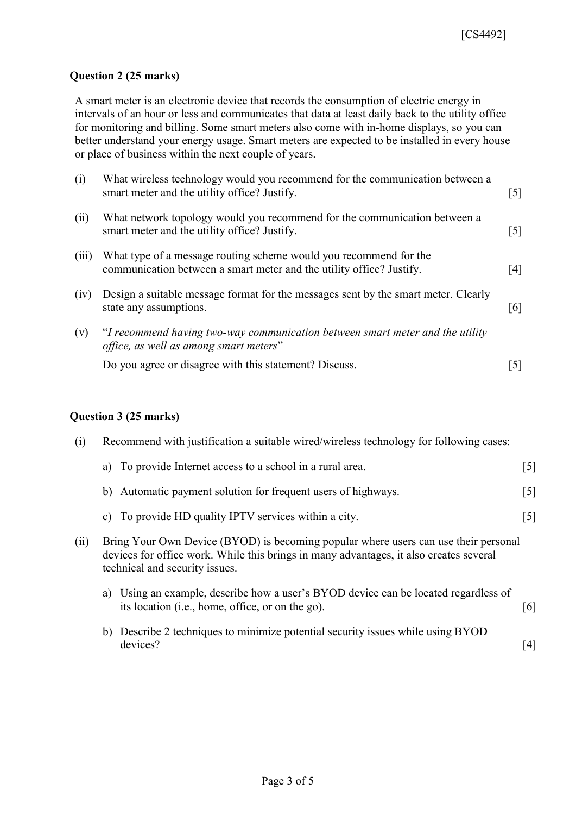#### **Question 2 (25 marks)**

A smart meter is an electronic device that records the consumption of electric energy in intervals of an hour or less and communicates that data at least daily back to the utility office for monitoring and billing. Some smart meters also come with in-home displays, so you can better understand your energy usage. Smart meters are expected to be installed in every house or place of business within the next couple of years.

| (i)   | What wireless technology would you recommend for the communication between a<br>smart meter and the utility office? Justify.              | $[5]$ |
|-------|-------------------------------------------------------------------------------------------------------------------------------------------|-------|
| (ii)  | What network topology would you recommend for the communication between a<br>smart meter and the utility office? Justify.                 | $[5]$ |
| (iii) | What type of a message routing scheme would you recommend for the<br>communication between a smart meter and the utility office? Justify. | [4]   |
| (iv)  | Design a suitable message format for the messages sent by the smart meter. Clearly<br>state any assumptions.                              | [6]   |
| (v)   | "I recommend having two-way communication between smart meter and the utility<br>office, as well as among smart meters"                   |       |
|       | Do you agree or disagree with this statement? Discuss.                                                                                    | 5     |

#### **Question 3 (25 marks)**

| (i)  |    | Recommend with justification a suitable wired/wireless technology for following cases:                                                                                                                          |                   |  |  |  |  |  |
|------|----|-----------------------------------------------------------------------------------------------------------------------------------------------------------------------------------------------------------------|-------------------|--|--|--|--|--|
|      |    | a) To provide Internet access to a school in a rural area.                                                                                                                                                      | $\lceil 5 \rceil$ |  |  |  |  |  |
|      |    | b) Automatic payment solution for frequent users of highways.                                                                                                                                                   | $\lceil 5 \rceil$ |  |  |  |  |  |
|      |    | c) To provide HD quality IPTV services within a city.                                                                                                                                                           | $\lceil 5 \rceil$ |  |  |  |  |  |
| (ii) |    | Bring Your Own Device (BYOD) is becoming popular where users can use their personal<br>devices for office work. While this brings in many advantages, it also creates several<br>technical and security issues. |                   |  |  |  |  |  |
|      | a) | Using an example, describe how a user's BYOD device can be located regardless of<br>its location (i.e., home, office, or on the go).                                                                            | [6]               |  |  |  |  |  |
|      |    | b) Describe 2 techniques to minimize potential security issues while using BYOD<br>devices?                                                                                                                     | 4 <sup>1</sup>    |  |  |  |  |  |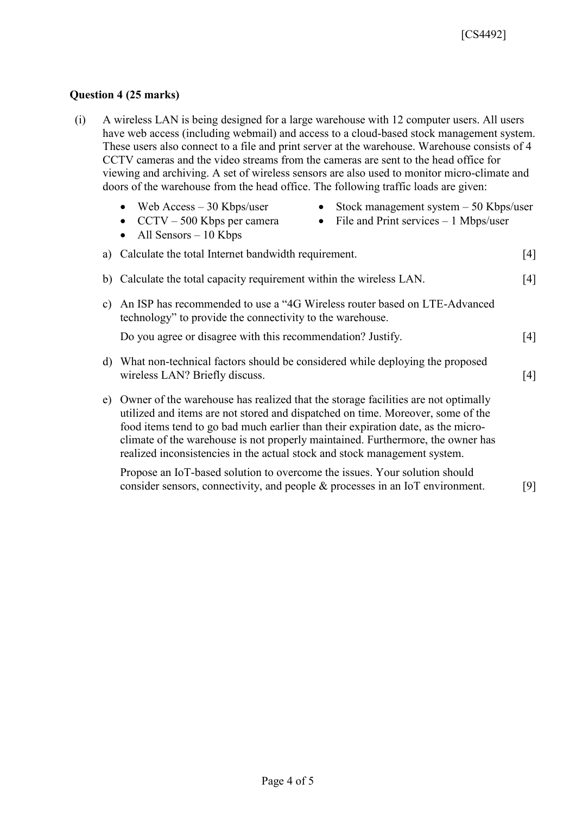### **Question 4 (25 marks)**

| (i) | A wireless LAN is being designed for a large warehouse with 12 computer users. All users      |
|-----|-----------------------------------------------------------------------------------------------|
|     | have web access (including webmail) and access to a cloud-based stock management system.      |
|     | These users also connect to a file and print server at the warehouse. Warehouse consists of 4 |
|     | CCTV cameras and the video streams from the cameras are sent to the head office for           |
|     | viewing and archiving. A set of wireless sensors are also used to monitor micro-climate and   |
|     | doors of the warehouse from the head office. The following traffic loads are given:           |

|                                                        | • Web Access $-30$ Kbps/user<br>• $CCTV - 500$ Kbps per camera<br>• All Sensors $-10$ Kbps |  | • Stock management system $-50$ Kbps/user<br>• File and Print services $-1$ Mbps/user |  |
|--------------------------------------------------------|--------------------------------------------------------------------------------------------|--|---------------------------------------------------------------------------------------|--|
| a) Calculate the total Internet bandwidth requirement. |                                                                                            |  |                                                                                       |  |

- b) Calculate the total capacity requirement within the wireless LAN. [4]
- c) An ISP has recommended to use a "4G Wireless router based on LTE-Advanced technology" to provide the connectivity to the warehouse.

Do you agree or disagree with this recommendation? Justify. [4]

- d) What non-technical factors should be considered while deploying the proposed wireless LAN? Briefly discuss. [4]
- e) Owner of the warehouse has realized that the storage facilities are not optimally utilized and items are not stored and dispatched on time. Moreover, some of the food items tend to go bad much earlier than their expiration date, as the microclimate of the warehouse is not properly maintained. Furthermore, the owner has realized inconsistencies in the actual stock and stock management system.

Propose an IoT-based solution to overcome the issues. Your solution should consider sensors, connectivity, and people & processes in an IoT environment. [9]